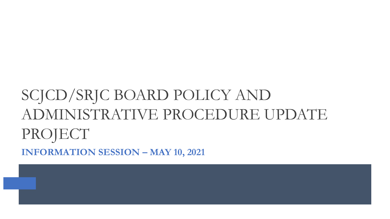# SCJCD/SRJC BOARD POLICY AND ADMINISTRATIVE PROCEDURE UPDATE PROJECT **INFORMATION SESSION – MAY 10, 2021**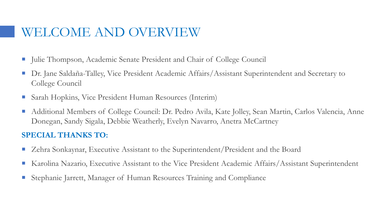### WELCOME AND OVERVIEW

- Julie Thompson, Academic Senate President and Chair of College Council
- Dr. Jane Saldaña-Talley, Vice President Academic Affairs/Assistant Superintendent and Secretary to College Council
- Sarah Hopkins, Vice President Human Resources (Interim)
- Additional Members of College Council: Dr. Pedro Avila, Kate Jolley, Sean Martin, Carlos Valencia, Anne Donegan, Sandy Sigala, Debbie Weatherly, Evelyn Navarro, Anetra McCartney

#### **SPECIAL THANKS TO:**

- Zehra Sonkaynar, Executive Assistant to the Superintendent/President and the Board
- Karolina Nazario, Executive Assistant to the Vice President Academic Affairs/Assistant Superintendent
- Stephanie Jarrett, Manager of Human Resources Training and Compliance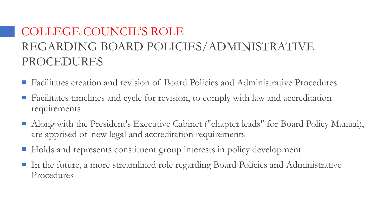## COLLEGE COUNCIL'S ROLE REGARDING BOARD POLICIES/ADMINISTRATIVE PROCEDURES

- Facilitates creation and revision of Board Policies and Administrative Procedures
- Facilitates timelines and cycle for revision, to comply with law and accreditation requirements
- Along with the President's Executive Cabinet ("chapter leads" for Board Policy Manual), are apprised of new legal and accreditation requirements
- Holds and represents constituent group interests in policy development
- In the future, a more streamlined role regarding Board Policies and Administrative Procedures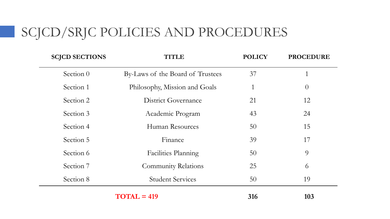# SCJCD/SRJC POLICIES AND PROCEDURES

| <b>SCJCD SECTIONS</b> | <b>TITLE</b>                     | <b>POLICY</b>   | <b>PROCEDURE</b> |
|-----------------------|----------------------------------|-----------------|------------------|
| Section 0             | By-Laws of the Board of Trustees | 37              |                  |
| Section 1             | Philosophy, Mission and Goals    | 1               | $\theta$         |
| Section 2             | District Governance              | 21              | 12               |
| Section 3             | Academic Program                 | 43              | 24               |
| Section 4             | Human Resources                  | 50              | 15               |
| Section 5             | Finance                          | 39              | 17               |
| Section 6             | <b>Facilities Planning</b>       | 50 <sup>°</sup> | 9                |
| Section 7             | <b>Community Relations</b>       | 25              | 6                |
| Section 8             | <b>Student Services</b>          | 50              | 19               |
|                       |                                  |                 |                  |

**TOTAL = 419 316 103**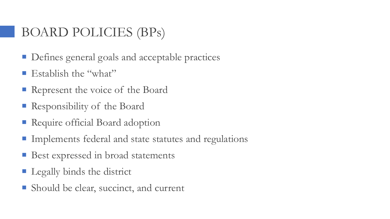### BOARD POLICIES (BPs)

- Defines general goals and acceptable practices
- **E** Establish the "what"
- Represent the voice of the Board
- Responsibility of the Board
- **Require official Board adoption**
- **Implements federal and state statutes and regulations**
- **Best expressed in broad statements**
- **Legally binds the district**
- Should be clear, succinct, and current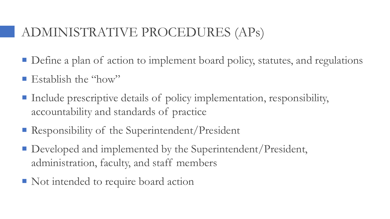## ADMINISTRATIVE PROCEDURES (APs)

- Define a plan of action to implement board policy, statutes, and regulations
- **Exablish the "how"**
- Include prescriptive details of policy implementation, responsibility, accountability and standards of practice
- Responsibility of the Superintendent/President
- Developed and implemented by the Superintendent/President, administration, faculty, and staff members
- Not intended to require board action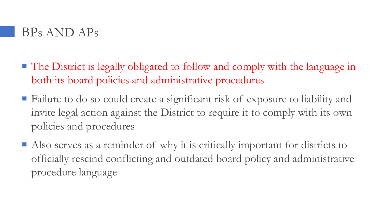

- The District is legally obligated to follow and comply with the language in both its board policies and administrative procedures
- Failure to do so could create a significant risk of exposure to liability and invite legal action against the District to require it to comply with its own policies and procedures
- Also serves as a reminder of why it is critically important for districts to officially rescind conflicting and outdated board policy and administrative procedure language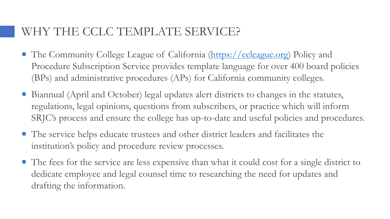### WHY THE CCLC TEMPLATE SERVICE?

- The Community College League of California ([https://ccleague.org](https://ccleague.org/)) Policy and Procedure Subscription Service provides template language for over 400 board policies (BPs) and administrative procedures (APs) for California community colleges.
- Biannual (April and October) legal updates alert districts to changes in the statutes, regulations, legal opinions, questions from subscribers, or practice which will inform SRJC's process and ensure the college has up-to-date and useful policies and procedures.
- The service helps educate trustees and other district leaders and facilitates the institution's policy and procedure review processes.
- The fees for the service are less expensive than what it could cost for a single district to dedicate employee and legal counsel time to researching the need for updates and drafting the information.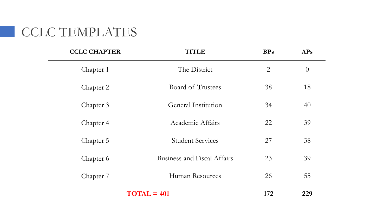# CCLC TEMPLATES

| <b>CCLC CHAPTER</b> | <b>TITLE</b>                       | <b>BPs</b>     | <b>APs</b> |
|---------------------|------------------------------------|----------------|------------|
| Chapter 1           | The District                       | $\overline{2}$ | $\theta$   |
| Chapter 2           | Board of Trustees                  | 38             | 18         |
| Chapter 3           | General Institution                | 34             | 40         |
| Chapter 4           | Academic Affairs                   | 22             | 39         |
| Chapter 5           | <b>Student Services</b>            | 27             | 38         |
| Chapter 6           | <b>Business and Fiscal Affairs</b> | 23             | 39         |
| Chapter 7           | Human Resources                    | 26             | 55         |
|                     | $TOTAL = 401$                      | 172            | 229        |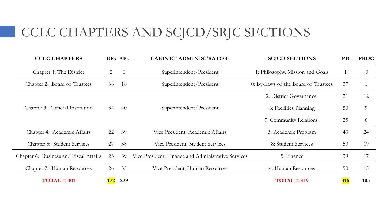# CCLC CHAPTERS AND SCJCD/SRJC SECTIONS

| <b>CCLC CHAPTERS</b>                   |     | BPs APs        | <b>CABINET ADMINISTRATOR</b>                                    | <b>SCJCD SECTIONS</b>            | <b>PB</b> | <b>PROC</b> |
|----------------------------------------|-----|----------------|-----------------------------------------------------------------|----------------------------------|-----------|-------------|
| Chapter 1: The District                | 2   | $\overline{0}$ | Superintendent/President                                        | 1: Philosophy, Mission and Goals |           | $\theta$    |
| Chapter 2: Board of Trustees           | 38  | 18             | 0: By-Laws of the Board of Trustees<br>Superintendent/President |                                  | 37        |             |
|                                        |     |                |                                                                 | 2: District Governance           | 21        | 12          |
| Chapter 3: General Institution         |     | 40             | Superintendent/President                                        | 6: Facilities Planning           | 50        | 9           |
|                                        |     |                |                                                                 | 7: Community Relations           | 25        | 6           |
| Chapter 4: Academic Affairs            | 22  | 39             | Vice President, Academic Affairs                                | 3: Academic Program              | 43        | 24          |
| Chapter 5: Student Services            | 27  | 38             | Vice President, Student Services                                | 8: Student Services              | 50        | 19          |
| Chapter 6: Business and Fiscal Affairs | 23  | 39             | Vice President, Finance and Administrative Services             | 5: Finance                       |           | 17          |
| Chapter 7: Human Resources             | 26  | - 55           | Vice President, Human Resources                                 | 4: Human Resources               | 50        | 15          |
| $TOTAL = 401$                          | 172 | 229            |                                                                 | $TOTAL = 419$                    | 316       | 103         |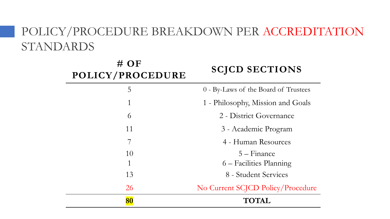### POLICY/PROCEDURE BREAKDOWN PER ACCREDITATION STANDARDS

| $#$ OF<br>POLICY/PROCEDURE | <b>SCJCD SECTIONS</b>                |
|----------------------------|--------------------------------------|
| 5                          | 0 - By-Laws of the Board of Trustees |
| 1                          | 1 - Philosophy, Mission and Goals    |
| 6                          | 2 - District Governance              |
| 11                         | 3 - Academic Program                 |
| 7                          | 4 - Human Resources                  |
| 10                         | $5 - Finance$                        |
| 1                          | 6 – Facilities Planning              |
| 13                         | 8 - Student Services                 |
| 26                         | No Current SCJCD Policy/Procedure    |
| 80                         | <b>TOTAL</b>                         |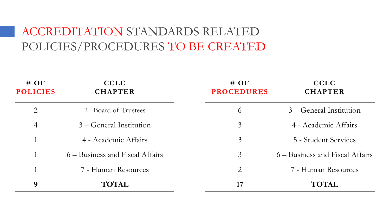### ACCREDITATION STANDARDS RELATED POLICIES/PROCEDURES TO BE CREATED

| $\#$ OF<br><b>POLICIES</b> | <b>CCLC</b><br><b>CHAPTER</b>   | $\#$ OF<br><b>PROCEDURES</b> | <b>CCLC</b><br><b>CHAPTER</b>   |
|----------------------------|---------------------------------|------------------------------|---------------------------------|
| $\overline{2}$             | 2 - Board of Trustees           | 6                            | 3 – General Institution         |
| $\overline{4}$             | 3 – General Institution         | $\mathfrak{Z}$               | 4 - Academic Affairs            |
| 1                          | 4 - Academic Affairs            | 3                            | 5 - Student Services            |
| 1                          | 6 – Business and Fiscal Affairs | $\mathfrak{Z}$               | 6 – Business and Fiscal Affairs |
| 1                          | 7 - Human Resources             | $\overline{2}$               | 7 - Human Resources             |
| 9                          | <b>TOTAL</b>                    | 17                           | <b>TOTAL</b>                    |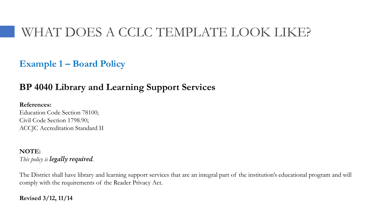### WHAT DOES A CCLC TEMPLATE LOOK LIKE?

### **Example 1 – Board Policy**

### **BP 4040 Library and Learning Support Services**

#### **References:**

Education Code Section 78100; Civil Code Section 1798.90; ACCJC Accreditation Standard II

#### **NOTE:** *This policy is legally required.*

The District shall have library and learning support services that are an integral part of the institution's educational program and will comply with the requirements of the Reader Privacy Act.

#### **Revised 3/12, 11/14**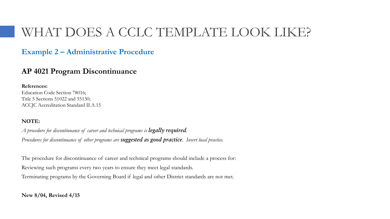### WHAT DOES A CCLC TEMPLATE LOOK LIKE?

#### **Example 2 – Administrative Procedure**

#### **AP 4021 Program Discontinuance**

**References:** Education Code Section 78016; Title 5 Sections 51022 and 55130; ACCJC Accreditation Standard II.A.15

#### **NOTE:**

*A procedure for discontinuance of career and technical programs is legally required. Procedures for discontinuance of other programs are suggested as good practice. Insert local practice.*

The procedure for discontinuance of career and technical programs should include a process for: Reviewing such programs every two years to ensure they meet legal standards. Terminating programs by the Governing Board if legal and other District standards are not met.

**New 8/04, Revised 4/15**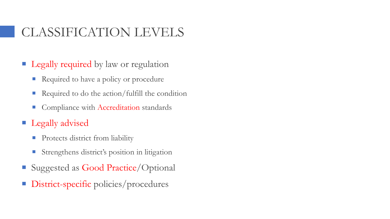# CLASSIFICATION LEVELS

- **Legally required** by law or regulation
	- Required to have a policy or procedure
	- Required to do the action/fulfill the condition
	- Compliance with Accreditation standards
- **Legally advised** 
	- **Protects district from liability**
	- **Strengthens district's position in litigation**
- Suggested as Good Practice/Optional
- District-specific policies/procedures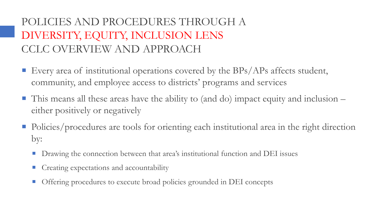### POLICIES AND PROCEDURES THROUGH A DIVERSITY, EQUITY, INCLUSION LENS CCLC OVERVIEW AND APPROACH

- **Every area of institutional operations covered by the BPs/APs affects student,** community, and employee access to districts' programs and services
- $\blacksquare$  This means all these areas have the ability to (and do) impact equity and inclusion  $\blacksquare$ either positively or negatively
- Policies/procedures are tools for orienting each institutional area in the right direction by:
	- **Drawing the connection between that area's institutional function and DEI issues**
	- Creating expectations and accountability
	- Offering procedures to execute broad policies grounded in DEI concepts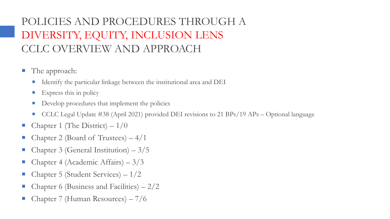### POLICIES AND PROCEDURES THROUGH A DIVERSITY, EQUITY, INCLUSION LENS CCLC OVERVIEW AND APPROACH

- **The approach:** 
	- Identify the particular linkage between the institutional area and DEI
	- $\blacksquare$  Express this in policy
	- Develop procedures that implement the policies
	- CCLC Legal Update #38 (April 2021) provided DEI revisions to 21 BPs/19 APs Optional language
- Chapter 1 (The District)  $-1/0$
- Chapter 2 (Board of Trustees) 4/1
- Chapter 3 (General Institution) 3/5
- Chapter 4 (Academic Affairs)  $-3/3$
- Chapter 5 (Student Services)  $-1/2$
- Chapter 6 (Business and Facilities)  $-2/2$
- Chapter 7 (Human Resources) 7/6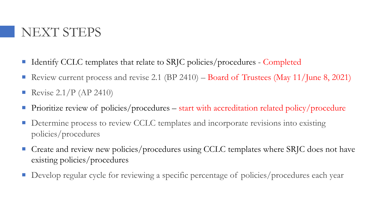### NEXT STEPS

- Identify CCLC templates that relate to SRJC policies/procedures Completed
- Review current process and revise 2.1 (BP 2410) Board of Trustees (May 11/June 8, 2021)
- Revise  $2.1/P$  (AP 2410)
- Prioritize review of policies/procedures start with accreditation related policy/procedure
- Determine process to review CCLC templates and incorporate revisions into existing policies/procedures
- Create and review new policies/procedures using CCLC templates where SRJC does not have existing policies/procedures
- Develop regular cycle for reviewing a specific percentage of policies/procedures each year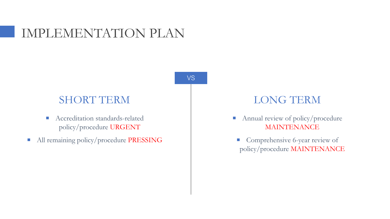### IMPLEMENTATION PLAN

VS

### SHORT TERM

- Accreditation standards-related policy/procedure URGENT
- All remaining policy/procedure PRESSING

### LONG TERM

- Annual review of policy/procedure MAINTENANCE
- Comprehensive 6-year review of policy/procedure MAINTENANCE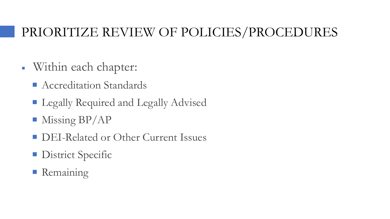### PRIORITIZE REVIEW OF POLICIES/PROCEDURES

- Within each chapter:
	- Accreditation Standards
	- **Legally Required and Legally Advised**
	- Missing BP/AP
	- **DEI-Related or Other Current Issues**
	- **District Specific**
	- **Remaining**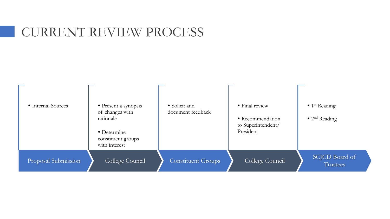### CURRENT REVIEW PROCESS

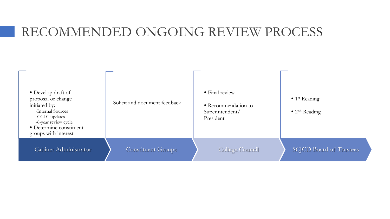### RECOMMENDED ONGOING REVIEW PROCESS

| • Develop draft of<br>proposal or change<br>initiated by:<br>-Internal Sources<br>-CCLC updates<br>-6-year review cycle<br>• Determine constituent<br>groups with interest | Solicit and document feedback | • Final review<br>• Recommendation to<br>Superintendent/<br>President | $\bullet$ 1 <sup>st</sup> Reading<br>$\bullet$ 2 <sup>nd</sup> Reading |
|----------------------------------------------------------------------------------------------------------------------------------------------------------------------------|-------------------------------|-----------------------------------------------------------------------|------------------------------------------------------------------------|
| Cabinet Administrator                                                                                                                                                      | <b>Constituent Groups</b>     | <b>College Council</b>                                                | <b>SCJCD Board of Trustees</b>                                         |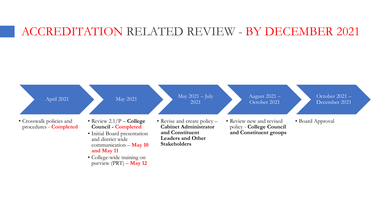### ACCREDITATION RELATED REVIEW - BY DECEMBER 2021

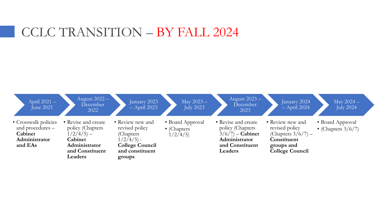### CCLC TRANSITION – BY FALL 2024

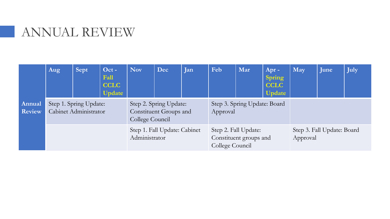### ANNUAL REVIEW

|                         | Aug | <b>Sept</b>                                     | Oct -<br>Fall<br><b>CCLC</b><br><b>Update</b> | <b>Nov</b>                                                          | Dec                                                               | Jan | Feb                                      | Mar                                    | Apr -<br><b>Spring</b><br><b>CCLC</b><br><b>Update</b> | May | June | July |
|-------------------------|-----|-------------------------------------------------|-----------------------------------------------|---------------------------------------------------------------------|-------------------------------------------------------------------|-----|------------------------------------------|----------------------------------------|--------------------------------------------------------|-----|------|------|
| Annual<br><b>Review</b> |     | Step 1. Spring Update:<br>Cabinet Administrator |                                               | Step 2. Spring Update:<br>Constituent Groups and<br>College Council |                                                                   |     | Step 3. Spring Update: Board<br>Approval |                                        |                                                        |     |      |      |
|                         |     |                                                 | Step 1. Fall Update: Cabinet<br>Administrator |                                                                     | Step 2. Fall Update:<br>Constituent groups and<br>College Council |     |                                          | Step 3. Fall Update: Board<br>Approval |                                                        |     |      |      |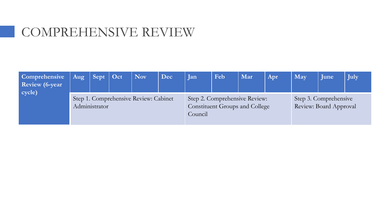### COMPREHENSIVE REVIEW

| <b>Comprehensive</b><br>Review (6-year)<br>$\vert$ cycle) | Aug                                                    | $\vert$ Sept $\vert$ Oct |  | Nov | Dec     | Jan                                                                    | Feb | Mar | Apr. | May                                             | June | July |
|-----------------------------------------------------------|--------------------------------------------------------|--------------------------|--|-----|---------|------------------------------------------------------------------------|-----|-----|------|-------------------------------------------------|------|------|
|                                                           | Step 1. Comprehensive Review: Cabinet<br>Administrator |                          |  |     | Council | Step 2. Comprehensive Review:<br><b>Constituent Groups and College</b> |     |     |      | Step 3. Comprehensive<br>Review: Board Approval |      |      |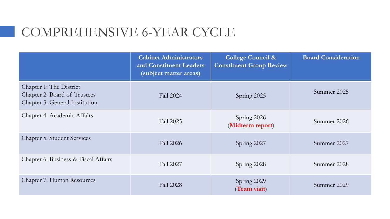### COMPREHENSIVE 6-YEAR CYCLE

|                                                                                           | <b>Cabinet Administrators</b><br>and Constituent Leaders<br>(subject matter areas) | <b>College Council &amp;</b><br><b>Constituent Group Review</b> | <b>Board Consideration</b> |
|-------------------------------------------------------------------------------------------|------------------------------------------------------------------------------------|-----------------------------------------------------------------|----------------------------|
| Chapter 1: The District<br>Chapter 2: Board of Trustees<br>Chapter 3: General Institution | <b>Fall 2024</b>                                                                   | Spring 2025                                                     | Summer 2025                |
| Chapter 4: Academic Affairs                                                               | Fall 2025                                                                          | Spring 2026<br>(Midterm report)                                 | Summer 2026                |
| <b>Chapter 5: Student Services</b>                                                        | <b>Fall 2026</b>                                                                   | Spring 2027                                                     | Summer 2027                |
| Chapter 6: Business & Fiscal Affairs                                                      | <b>Fall 2027</b>                                                                   | Spring 2028                                                     | Summer 2028                |
| Chapter 7: Human Resources                                                                | <b>Fall 2028</b>                                                                   | Spring 2029<br>(Team visit)                                     | Summer 2029                |